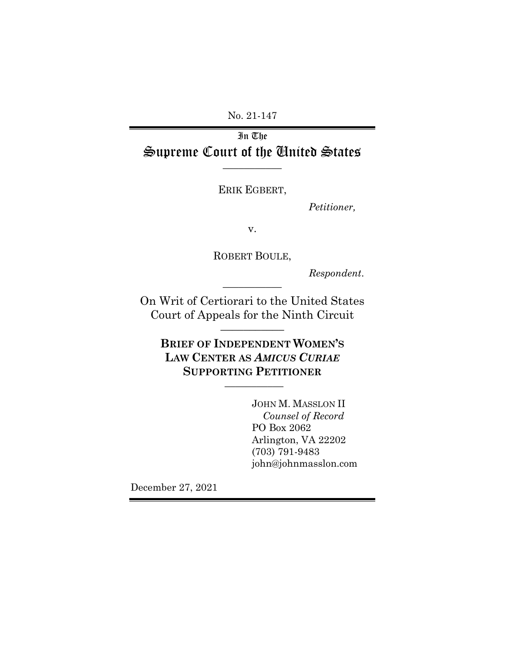No. 21-147

In The Supreme Court of the United States **\_\_\_\_\_\_\_\_\_\_\_**

ERIK EGBERT,

*Petitioner,*

v.

ROBERT BOULE,

**\_\_\_\_\_\_\_\_\_\_\_**

*Respondent*.

On Writ of Certiorari to the United States Court of Appeals for the Ninth Circuit **\_\_\_\_\_\_\_\_\_\_\_**

**BRIEF OF INDEPENDENT WOMEN'S LAW CENTER AS** *AMICUS CURIAE*  **SUPPORTING PETITIONER \_\_\_\_\_\_\_\_\_\_\_**

> JOHN M. MASSLON II *Counsel of Record* PO Box 2062 Arlington, VA 22202 (703) 791-9483 john@johnmasslon.com

December 27, 2021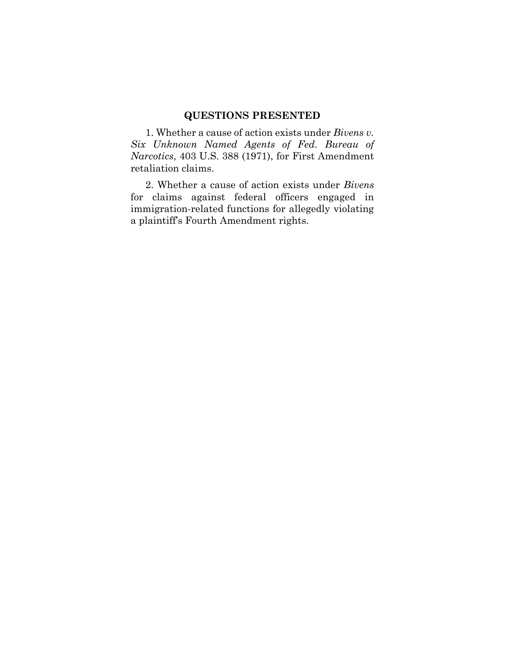## **QUESTIONS PRESENTED**

1. Whether a cause of action exists under *Bivens v. Six Unknown Named Agents of Fed. Bureau of Narcotics*, 403 U.S. 388 (1971), for First Amendment retaliation claims.

2. Whether a cause of action exists under *Bivens* for claims against federal officers engaged in immigration-related functions for allegedly violating a plaintiff's Fourth Amendment rights.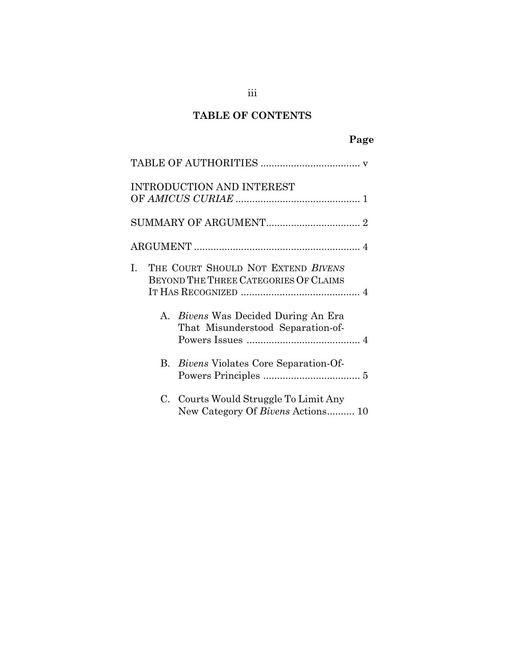# **TABLE OF CONTENTS**

## **Page**

|    | <b>INTRODUCTION AND INTEREST</b>                                                |
|----|---------------------------------------------------------------------------------|
|    |                                                                                 |
|    |                                                                                 |
| Ι. | THE COURT SHOULD NOT EXTEND BIVENS<br>BEYOND THE THREE CATEGORIES OF CLAIMS     |
|    | A. <i>Bivens</i> Was Decided During An Era<br>That Misunderstood Separation-of- |
|    | B. <i>Bivens</i> Violates Core Separation-Of-                                   |
|    | C. Courts Would Struggle To Limit Any<br>New Category Of Bivens Actions 10      |

## iii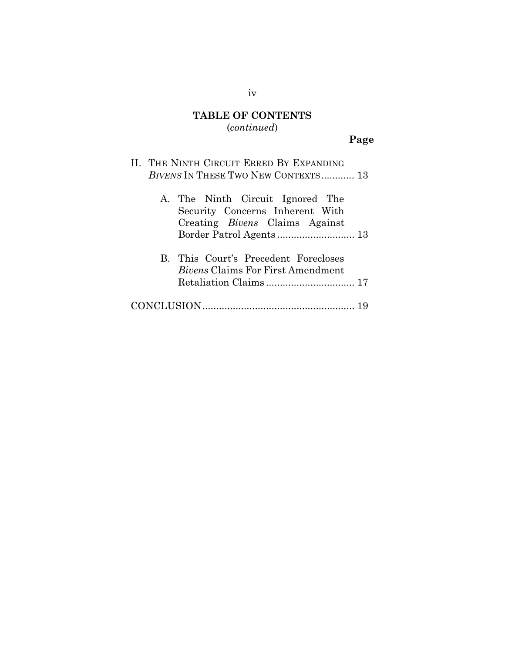# **TABLE OF CONTENTS** (*continued*)

# **Page**

|  | II. THE NINTH CIRCUIT ERRED BY EXPANDING<br>BIVENS IN THESE TWO NEW CONTEXTS 13                              |
|--|--------------------------------------------------------------------------------------------------------------|
|  | A. The Ninth Circuit Ignored The<br>Security Concerns Inherent With<br>Creating <i>Bivens</i> Claims Against |
|  | B. This Court's Precedent Forecloses<br><i>Bivens</i> Claims For First Amendment                             |
|  |                                                                                                              |

## iv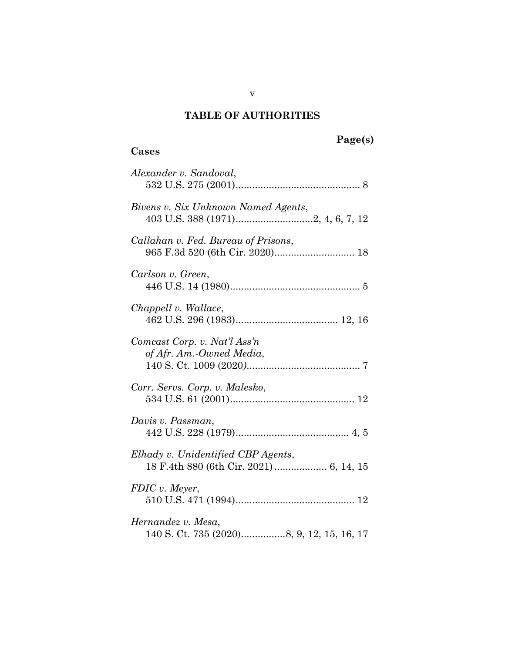# **TABLE OF AUTHORITIES**

## **Cases**

| Alexander v. Sandoval,                                          |
|-----------------------------------------------------------------|
| Bivens v. Six Unknown Named Agents,                             |
| Callahan v. Fed. Bureau of Prisons,                             |
| Carlson v. Green,                                               |
| Chappell v. Wallace,                                            |
| Comcast Corp. v. Nat'l Ass'n<br>of Afr. Am.-Owned Media,        |
| Corr. Servs. Corp. v. Malesko,                                  |
| Davis v. Passman,                                               |
| Elhady v. Unidentified CBP Agents,                              |
| FDIC v. Meyer,                                                  |
| Hernandez v. Mesa,<br>140 S. Ct. 735 (2020)8, 9, 12, 15, 16, 17 |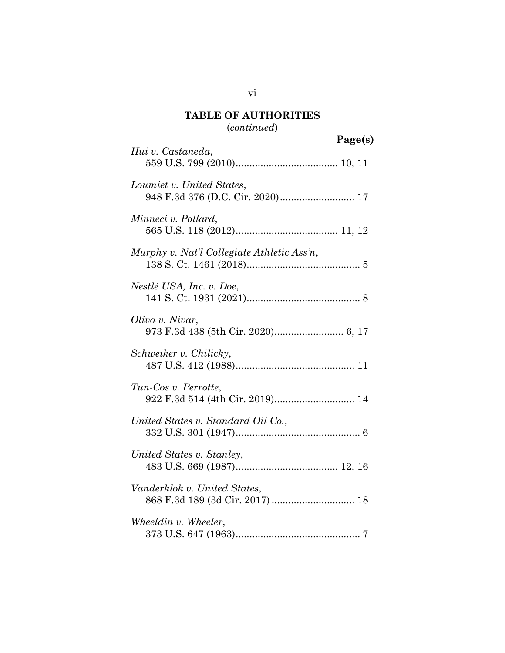# **TABLE OF AUTHORITIES** (*continued*)

|                                                               | Page(s) |
|---------------------------------------------------------------|---------|
| Hui v. Castaneda,                                             |         |
| Loumiet v. United States,<br>948 F.3d 376 (D.C. Cir. 2020) 17 |         |
| Minneci v. Pollard,                                           |         |
| Murphy v. Nat'l Collegiate Athletic Ass'n,                    |         |
| Nestlé USA, Inc. v. Doe,                                      |         |
| Oliva v. Nivar,                                               |         |
| Schweiker v. Chilicky,                                        |         |
| Tun-Cos v. Perrotte,                                          |         |
| United States v. Standard Oil Co.,                            |         |
| United States v. Stanley,                                     |         |
| Vanderklok v. United States,                                  |         |
| Wheeldin v. Wheeler,                                          |         |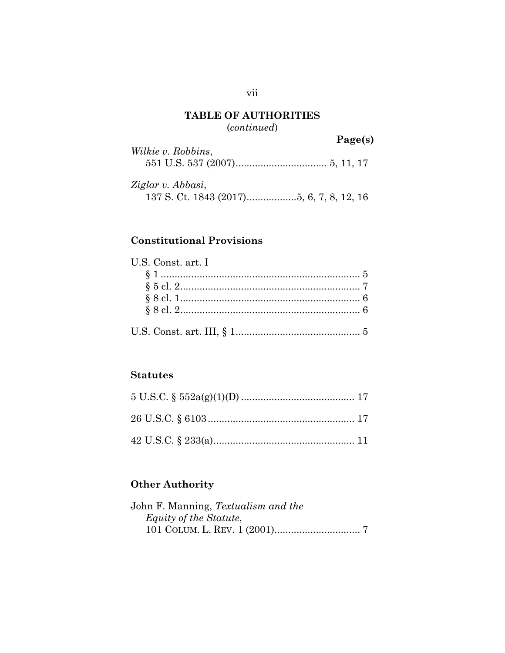## **TABLE OF AUTHORITIES** (*continued*)

|                    | Page(s) |
|--------------------|---------|
| Wilkie v. Robbins, |         |
|                    |         |

*Ziglar v. Abbasi*, 137 S. Ct. 1843 (2017).................[.5,](#page-11-4) [6,](#page-12-4) [7,](#page-13-3) [8,](#page-14-3) [12,](#page-18-7) [16](#page-22-3)

## **Constitutional Provisions**

| U.S. Const. art. I |  |
|--------------------|--|
|                    |  |
|                    |  |
|                    |  |
|                    |  |
|                    |  |

### **Statutes**

## **Other Authority**

| John F. Manning, Textualism and the |  |
|-------------------------------------|--|
| Equity of the Statute,              |  |
|                                     |  |

## vii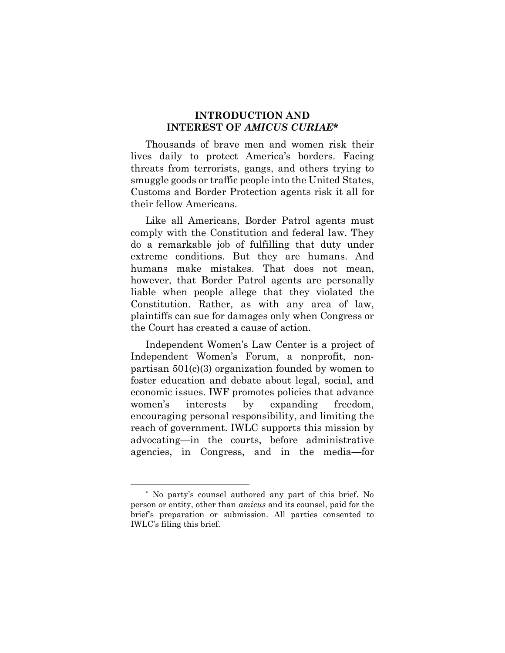#### **INTRODUCTION AND INTEREST OF** *AMICUS CURIAE***\***

Thousands of brave men and women risk their lives daily to protect America's borders. Facing threats from terrorists, gangs, and others trying to smuggle goods or traffic people into the United States, Customs and Border Protection agents risk it all for their fellow Americans.

Like all Americans, Border Patrol agents must comply with the Constitution and federal law. They do a remarkable job of fulfilling that duty under extreme conditions. But they are humans. And humans make mistakes. That does not mean, however, that Border Patrol agents are personally liable when people allege that they violated the Constitution. Rather, as with any area of law, plaintiffs can sue for damages only when Congress or the Court has created a cause of action.

Independent Women's Law Center is a project of Independent Women's Forum, a nonprofit, nonpartisan 501(c)(3) organization founded by women to foster education and debate about legal, social, and economic issues. IWF promotes policies that advance women's interests by expanding freedom, encouraging personal responsibility, and limiting the reach of government. IWLC supports this mission by advocating—in the courts, before administrative agencies, in Congress, and in the media—for

 $\overline{a}$ 

<sup>\*</sup> No party's counsel authored any part of this brief. No person or entity, other than *amicus* and its counsel, paid for the brief's preparation or submission. All parties consented to IWLC's filing this brief.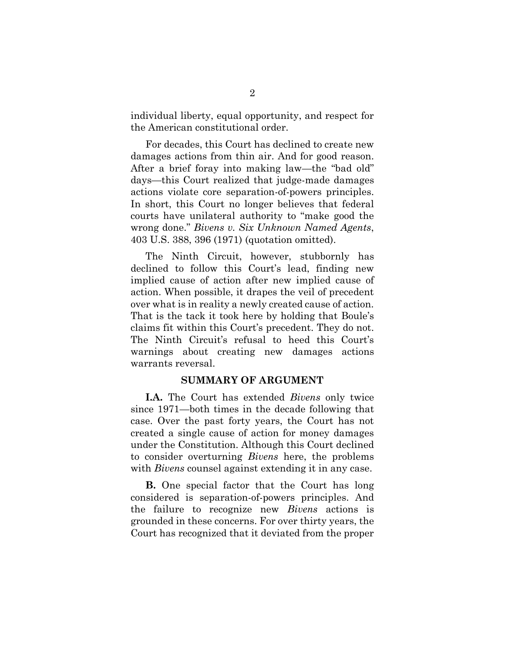individual liberty, equal opportunity, and respect for the American constitutional order.

For decades, this Court has declined to create new damages actions from thin air. And for good reason. After a brief foray into making law—the "bad old" days—this Court realized that judge-made damages actions violate core separation-of-powers principles. In short, this Court no longer believes that federal courts have unilateral authority to "make good the wrong done." *Bivens v. Six Unknown Named Agents*, 403 U.S. 388, 396 (1971) (quotation omitted).

<span id="page-8-0"></span>The Ninth Circuit, however, stubbornly has declined to follow this Court's lead, finding new implied cause of action after new implied cause of action. When possible, it drapes the veil of precedent over what is in reality a newly created cause of action. That is the tack it took here by holding that Boule's claims fit within this Court's precedent. They do not. The Ninth Circuit's refusal to heed this Court's warnings about creating new damages actions warrants reversal.

#### **SUMMARY OF ARGUMENT**

**I.A.** The Court has extended *Bivens* only twice since 1971—both times in the decade following that case. Over the past forty years, the Court has not created a single cause of action for money damages under the Constitution. Although this Court declined to consider overturning *Bivens* here, the problems with *Bivens* counsel against extending it in any case.

**B.** One special factor that the Court has long considered is separation-of-powers principles. And the failure to recognize new *Bivens* actions is grounded in these concerns. For over thirty years, the Court has recognized that it deviated from the proper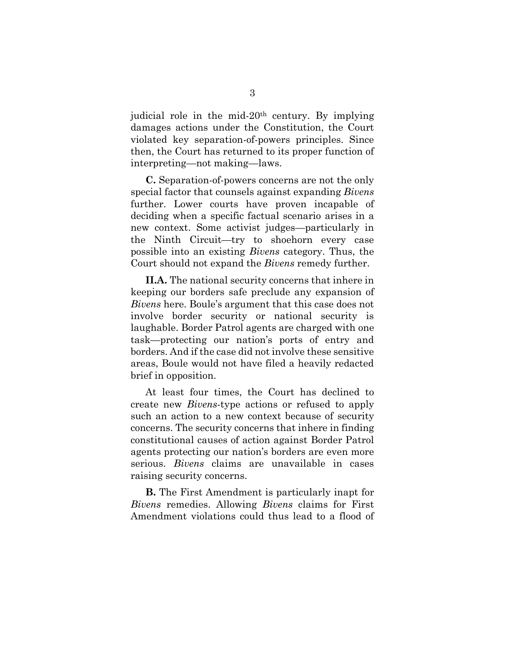judicial role in the mid-20th century. By implying damages actions under the Constitution, the Court violated key separation-of-powers principles. Since then, the Court has returned to its proper function of interpreting—not making—laws.

**C.** Separation-of-powers concerns are not the only special factor that counsels against expanding *Bivens* further. Lower courts have proven incapable of deciding when a specific factual scenario arises in a new context. Some activist judges—particularly in the Ninth Circuit—try to shoehorn every case possible into an existing *Bivens* category. Thus, the Court should not expand the *Bivens* remedy further.

**II.A.** The national security concerns that inhere in keeping our borders safe preclude any expansion of *Bivens* here. Boule's argument that this case does not involve border security or national security is laughable. Border Patrol agents are charged with one task—protecting our nation's ports of entry and borders. And if the case did not involve these sensitive areas, Boule would not have filed a heavily redacted brief in opposition.

At least four times, the Court has declined to create new *Bivens*-type actions or refused to apply such an action to a new context because of security concerns. The security concerns that inhere in finding constitutional causes of action against Border Patrol agents protecting our nation's borders are even more serious. *Bivens* claims are unavailable in cases raising security concerns.

**B.** The First Amendment is particularly inapt for *Bivens* remedies. Allowing *Bivens* claims for First Amendment violations could thus lead to a flood of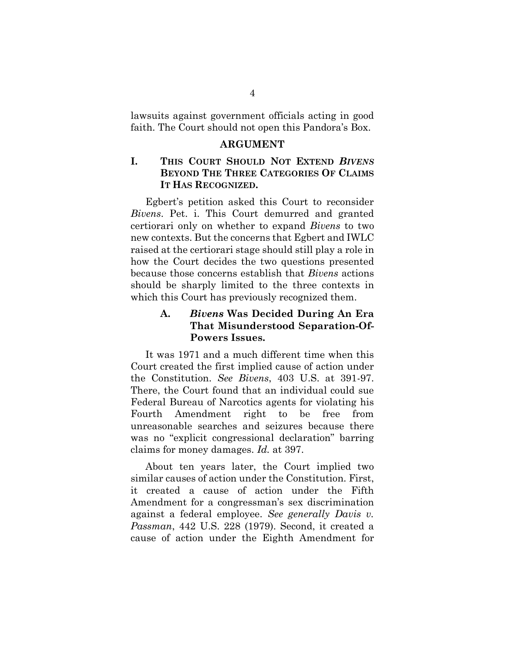lawsuits against government officials acting in good faith. The Court should not open this Pandora's Box.

#### **ARGUMENT**

## **I. THIS COURT SHOULD NOT EXTEND** *BIVENS* **BEYOND THE THREE CATEGORIES OF CLAIMS IT HAS RECOGNIZED.**

Egbert's petition asked this Court to reconsider *Bivens*. Pet. i. This Court demurred and granted certiorari only on whether to expand *Bivens* to two new contexts. But the concerns that Egbert and IWLC raised at the certiorari stage should still play a role in how the Court decides the two questions presented because those concerns establish that *Bivens* actions should be sharply limited to the three contexts in which this Court has previously recognized them.

## <span id="page-10-0"></span>**A.** *Bivens* **Was Decided During An Era That Misunderstood Separation-Of-Powers Issues.**

It was 1971 and a much different time when this Court created the first implied cause of action under the Constitution. *See Bivens*, 403 U.S. at 391-97. There, the Court found that an individual could sue Federal Bureau of Narcotics agents for violating his Fourth Amendment right to be free from unreasonable searches and seizures because there was no "explicit congressional declaration" barring claims for money damages. *Id.* at 397.

<span id="page-10-1"></span>About ten years later, the Court implied two similar causes of action under the Constitution. First, it created a cause of action under the Fifth Amendment for a congressman's sex discrimination against a federal employee. *See generally Davis v. Passman*, 442 U.S. 228 (1979). Second, it created a cause of action under the Eighth Amendment for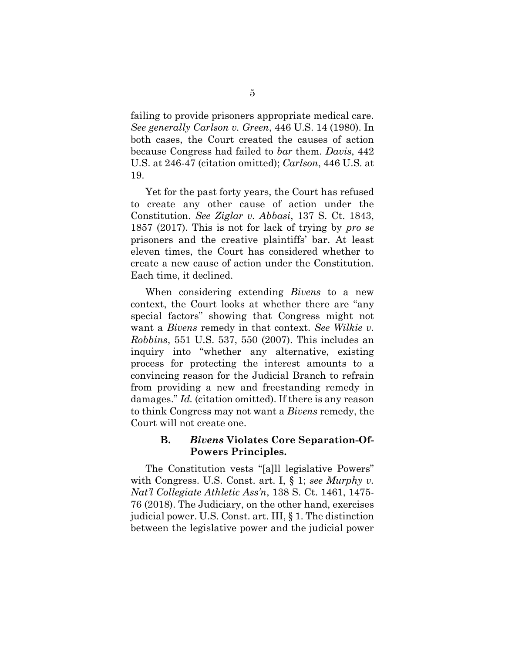<span id="page-11-1"></span><span id="page-11-0"></span>failing to provide prisoners appropriate medical care. *See generally Carlson v. Green*, 446 U.S. 14 (1980). In both cases, the Court created the causes of action because Congress had failed to *bar* them. *Davis*, 442 U.S. at 246-47 (citation omitted); *Carlson*, 446 U.S. at 19.

<span id="page-11-4"></span>Yet for the past forty years, the Court has refused to create any other cause of action under the Constitution. *See Ziglar v. Abbasi*, 137 S. Ct. 1843, 1857 (2017). This is not for lack of trying by *pro se* prisoners and the creative plaintiffs' bar. At least eleven times, the Court has considered whether to create a new cause of action under the Constitution. Each time, it declined.

<span id="page-11-3"></span>When considering extending *Bivens* to a new context, the Court looks at whether there are "any special factors" showing that Congress might not want a *Bivens* remedy in that context. *See Wilkie v. Robbins*, 551 U.S. 537, 550 (2007). This includes an inquiry into "whether any alternative, existing process for protecting the interest amounts to a convincing reason for the Judicial Branch to refrain from providing a new and freestanding remedy in damages." *Id.* (citation omitted). If there is any reason to think Congress may not want a *Bivens* remedy, the Court will not create one.

#### <span id="page-11-6"></span><span id="page-11-5"></span><span id="page-11-2"></span>**B.** *Bivens* **Violates Core Separation-Of-Powers Principles.**

The Constitution vests "[a]ll legislative Powers" with Congress. U.S. Const. art. I, § 1; *see Murphy v. Nat'l Collegiate Athletic Ass'n*, 138 S. Ct. 1461, 1475- 76 (2018). The Judiciary, on the other hand, exercises judicial power. U.S. Const. art. III, § 1. The distinction between the legislative power and the judicial power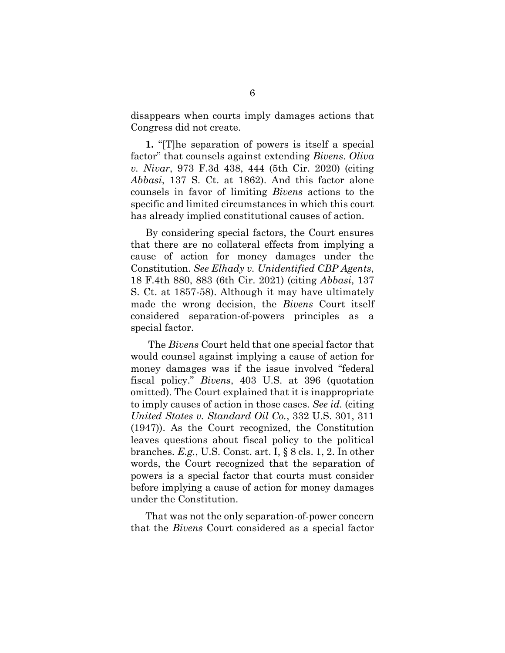disappears when courts imply damages actions that Congress did not create.

<span id="page-12-4"></span><span id="page-12-2"></span>**1.** "[T]he separation of powers is itself a special factor" that counsels against extending *Bivens*. *Oliva v. Nivar*, 973 F.3d 438, 444 (5th Cir. 2020) (citing *Abbasi*, 137 S. Ct. at 1862). And this factor alone counsels in favor of limiting *Bivens* actions to the specific and limited circumstances in which this court has already implied constitutional causes of action.

<span id="page-12-1"></span>By considering special factors, the Court ensures that there are no collateral effects from implying a cause of action for money damages under the Constitution. *See Elhady v. Unidentified CBP Agents*, 18 F.4th 880, 883 (6th Cir. 2021) (citing *Abbasi*, 137 S. Ct. at 1857-58). Although it may have ultimately made the wrong decision, the *Bivens* Court itself considered separation-of-powers principles as a special factor.

<span id="page-12-3"></span><span id="page-12-0"></span>The *Bivens* Court held that one special factor that would counsel against implying a cause of action for money damages was if the issue involved "federal fiscal policy." *Bivens*, 403 U.S. at 396 (quotation omitted). The Court explained that it is inappropriate to imply causes of action in those cases. *See id.* (citing *United States v. Standard Oil Co.*, 332 U.S. 301, 311 (1947)). As the Court recognized, the Constitution leaves questions about fiscal policy to the political branches. *E.g.*, U.S. Const. art. I, § 8 cls. 1, 2. In other words, the Court recognized that the separation of powers is a special factor that courts must consider before implying a cause of action for money damages under the Constitution.

<span id="page-12-5"></span>That was not the only separation-of-power concern that the *Bivens* Court considered as a special factor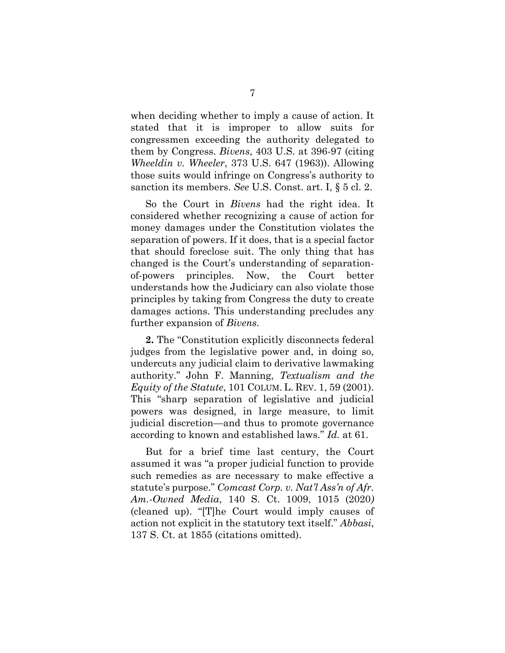<span id="page-13-0"></span>when deciding whether to imply a cause of action. It stated that it is improper to allow suits for congressmen exceeding the authority delegated to them by Congress. *Bivens*, 403 U.S. at 396-97 (citing *Wheeldin v. Wheeler*, 373 U.S. 647 (1963)). Allowing those suits would infringe on Congress's authority to sanction its members. *See* U.S. Const. art. I, § 5 cl. 2.

<span id="page-13-4"></span><span id="page-13-2"></span>So the Court in *Bivens* had the right idea. It considered whether recognizing a cause of action for money damages under the Constitution violates the separation of powers. If it does, that is a special factor that should foreclose suit. The only thing that has changed is the Court's understanding of separationof-powers principles. Now, the Court better understands how the Judiciary can also violate those principles by taking from Congress the duty to create damages actions. This understanding precludes any further expansion of *Bivens*.

<span id="page-13-5"></span>**2.** The "Constitution explicitly disconnects federal judges from the legislative power and, in doing so, undercuts any judicial claim to derivative lawmaking authority." John F. Manning, *Textualism and the Equity of the Statute*, 101 COLUM. L. REV. 1, 59 (2001). This "sharp separation of legislative and judicial powers was designed, in large measure, to limit judicial discretion—and thus to promote governance according to known and established laws." *Id.* at 61.

<span id="page-13-3"></span><span id="page-13-1"></span>But for a brief time last century, the Court assumed it was "a proper judicial function to provide such remedies as are necessary to make effective a statute's purpose." *Comcast Corp. v. Nat'l Ass'n of Afr. Am.-Owned Media*, 140 S. Ct. 1009, 1015 (2020*)*  (cleaned up). "[T]he Court would imply causes of action not explicit in the statutory text itself." *Abbasi*, 137 S. Ct. at 1855 (citations omitted).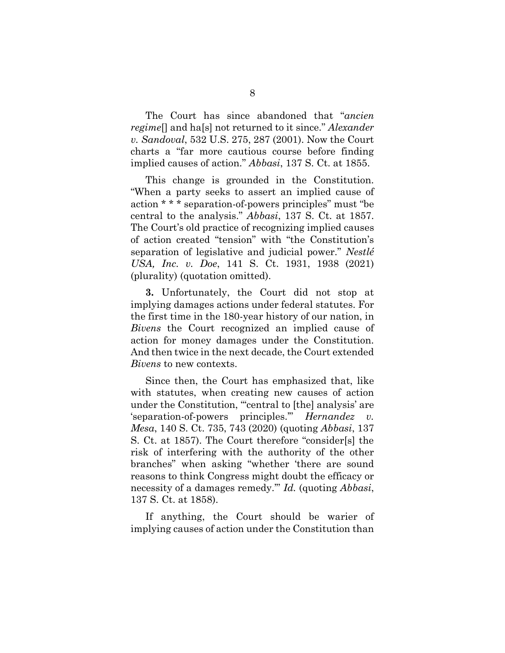<span id="page-14-0"></span>The Court has since abandoned that "*ancien regime*[] and ha[s] not returned to it since." *Alexander v. Sandoval*, 532 U.S. 275, 287 (2001). Now the Court charts a "far more cautious course before finding implied causes of action." *Abbasi*, 137 S. Ct. at 1855.

<span id="page-14-3"></span>This change is grounded in the Constitution. "When a party seeks to assert an implied cause of action \* \* \* separation-of-powers principles" must "be central to the analysis." *Abbasi*, 137 S. Ct. at 1857. The Court's old practice of recognizing implied causes of action created "tension" with "the Constitution's separation of legislative and judicial power." *Nestlé USA, Inc. v. Doe*, 141 S. Ct. 1931, 1938 (2021) (plurality) (quotation omitted).

<span id="page-14-2"></span>**3.** Unfortunately, the Court did not stop at implying damages actions under federal statutes. For the first time in the 180-year history of our nation, in *Bivens* the Court recognized an implied cause of action for money damages under the Constitution. And then twice in the next decade, the Court extended *Bivens* to new contexts.

<span id="page-14-1"></span>Since then, the Court has emphasized that, like with statutes, when creating new causes of action under the Constitution, "'central to [the] analysis' are 'separation-of-powers principles." *Hernandez Mesa*, 140 S. Ct. 735, 743 (2020) (quoting *Abbasi*, 137 S. Ct. at 1857). The Court therefore "consider[s] the risk of interfering with the authority of the other branches" when asking "whether 'there are sound reasons to think Congress might doubt the efficacy or necessity of a damages remedy.'" *Id.* (quoting *Abbasi*, 137 S. Ct. at 1858).

If anything, the Court should be warier of implying causes of action under the Constitution than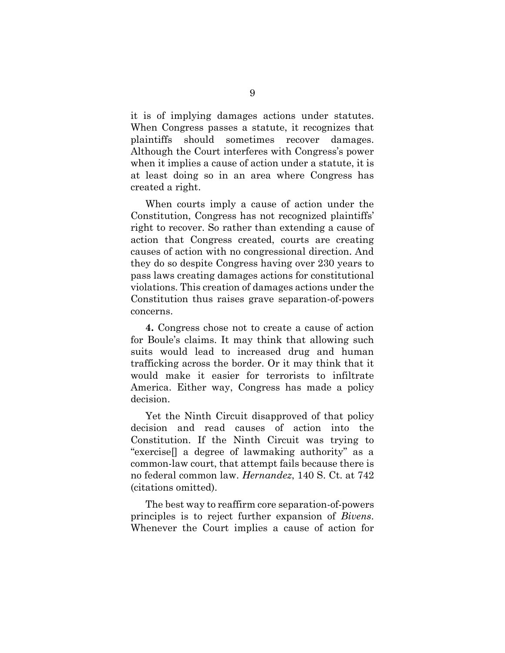it is of implying damages actions under statutes. When Congress passes a statute, it recognizes that plaintiffs should sometimes recover damages. Although the Court interferes with Congress's power when it implies a cause of action under a statute, it is at least doing so in an area where Congress has created a right.

When courts imply a cause of action under the Constitution, Congress has not recognized plaintiffs' right to recover. So rather than extending a cause of action that Congress created, courts are creating causes of action with no congressional direction. And they do so despite Congress having over 230 years to pass laws creating damages actions for constitutional violations. This creation of damages actions under the Constitution thus raises grave separation-of-powers concerns.

**4.** Congress chose not to create a cause of action for Boule's claims. It may think that allowing such suits would lead to increased drug and human trafficking across the border. Or it may think that it would make it easier for terrorists to infiltrate America. Either way, Congress has made a policy decision.

Yet the Ninth Circuit disapproved of that policy decision and read causes of action into the Constitution. If the Ninth Circuit was trying to "exercise[] a degree of lawmaking authority" as a common-law court, that attempt fails because there is no federal common law. *Hernandez*, 140 S. Ct. at 742 (citations omitted).

<span id="page-15-0"></span>The best way to reaffirm core separation-of-powers principles is to reject further expansion of *Bivens*. Whenever the Court implies a cause of action for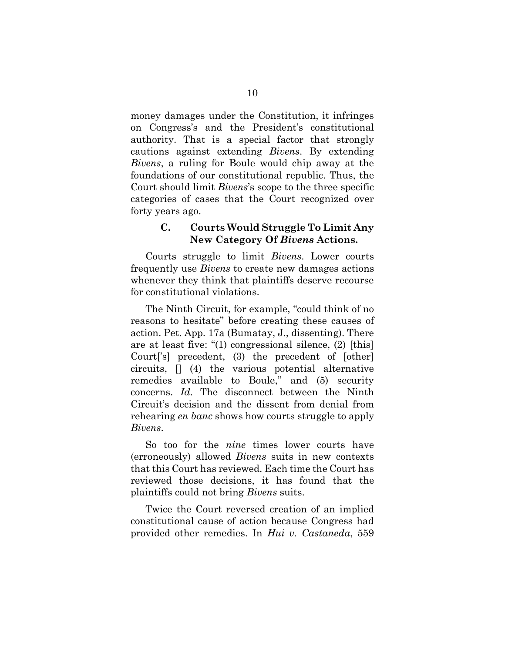money damages under the Constitution, it infringes on Congress's and the President's constitutional authority. That is a special factor that strongly cautions against extending *Bivens*. By extending *Bivens*, a ruling for Boule would chip away at the foundations of our constitutional republic. Thus, the Court should limit *Bivens*'s scope to the three specific categories of cases that the Court recognized over forty years ago.

## **C. Courts Would Struggle To Limit Any New Category Of** *Bivens* **Actions.**

Courts struggle to limit *Bivens*. Lower courts frequently use *Bivens* to create new damages actions whenever they think that plaintiffs deserve recourse for constitutional violations.

The Ninth Circuit, for example, "could think of no reasons to hesitate" before creating these causes of action. Pet. App. 17a (Bumatay, J., dissenting). There are at least five: "(1) congressional silence, (2) [this] Court['s] precedent, (3) the precedent of [other] circuits, [] (4) the various potential alternative remedies available to Boule," and (5) security concerns. *Id.* The disconnect between the Ninth Circuit's decision and the dissent from denial from rehearing *en banc* shows how courts struggle to apply *Bivens*.

So too for the *nine* times lower courts have (erroneously) allowed *Bivens* suits in new contexts that this Court has reviewed. Each time the Court has reviewed those decisions, it has found that the plaintiffs could not bring *Bivens* suits.

<span id="page-16-0"></span>Twice the Court reversed creation of an implied constitutional cause of action because Congress had provided other remedies. In *Hui v. Castaneda*, 559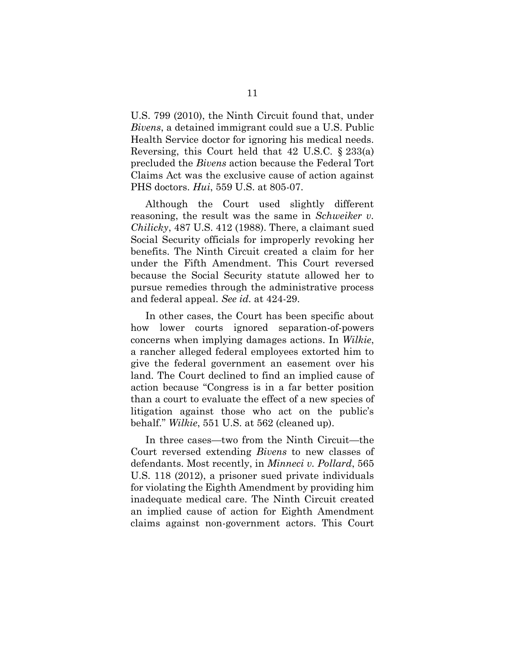<span id="page-17-4"></span>U.S. 799 (2010), the Ninth Circuit found that, under *Bivens*, a detained immigrant could sue a U.S. Public Health Service doctor for ignoring his medical needs. Reversing, this Court held that 42 U.S.C. § 233(a) precluded the *Bivens* action because the Federal Tort Claims Act was the exclusive cause of action against PHS doctors. *Hui*, 559 U.S. at 805-07.

<span id="page-17-2"></span><span id="page-17-0"></span>Although the Court used slightly different reasoning, the result was the same in *Schweiker v. Chilicky*, 487 U.S. 412 (1988). There, a claimant sued Social Security officials for improperly revoking her benefits. The Ninth Circuit created a claim for her under the Fifth Amendment. This Court reversed because the Social Security statute allowed her to pursue remedies through the administrative process and federal appeal. *See id.* at 424-29.

In other cases, the Court has been specific about how lower courts ignored separation-of-powers concerns when implying damages actions. In *Wilkie*, a rancher alleged federal employees extorted him to give the federal government an easement over his land. The Court declined to find an implied cause of action because "Congress is in a far better position than a court to evaluate the effect of a new species of litigation against those who act on the public's behalf." *Wilkie*, 551 U.S. at 562 (cleaned up).

<span id="page-17-3"></span><span id="page-17-1"></span>In three cases—two from the Ninth Circuit—the Court reversed extending *Bivens* to new classes of defendants. Most recently, in *Minneci v. Pollard*, 565 U.S. 118 (2012), a prisoner sued private individuals for violating the Eighth Amendment by providing him inadequate medical care. The Ninth Circuit created an implied cause of action for Eighth Amendment claims against non-government actors. This Court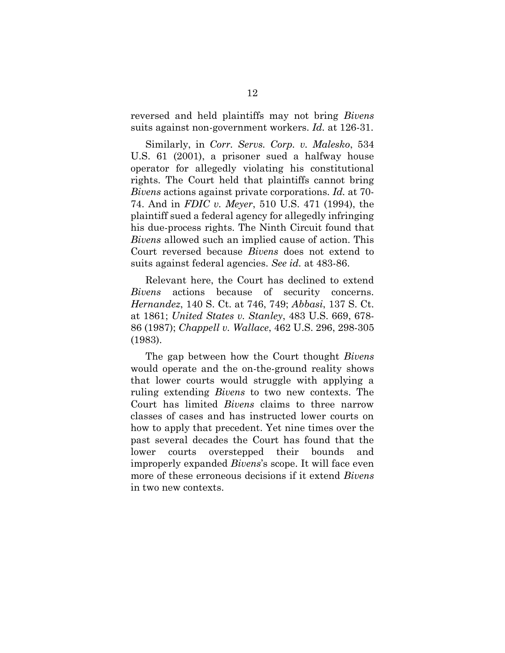<span id="page-18-5"></span>reversed and held plaintiffs may not bring *Bivens* suits against non-government workers. *Id.* at 126-31.

<span id="page-18-3"></span><span id="page-18-2"></span>Similarly, in *Corr. Servs. Corp. v. Malesko*, 534 U.S. 61 (2001), a prisoner sued a halfway house operator for allegedly violating his constitutional rights. The Court held that plaintiffs cannot bring *Bivens* actions against private corporations. *Id.* at 70- 74. And in *FDIC v. Meyer*, 510 U.S. 471 (1994), the plaintiff sued a federal agency for allegedly infringing his due-process rights. The Ninth Circuit found that *Bivens* allowed such an implied cause of action. This Court reversed because *Bivens* does not extend to suits against federal agencies. *See id.* at 483-86.

<span id="page-18-7"></span><span id="page-18-6"></span><span id="page-18-4"></span><span id="page-18-0"></span>Relevant here, the Court has declined to extend *Bivens* actions because of security concerns. *Hernandez*, 140 S. Ct. at 746, 749; *Abbasi*, 137 S. Ct. at 1861; *United States v. Stanley*, 483 U.S. 669, 678- 86 (1987); *Chappell v. Wallace*, 462 U.S. 296, 298-305 (1983).

<span id="page-18-1"></span>The gap between how the Court thought *Bivens* would operate and the on-the-ground reality shows that lower courts would struggle with applying a ruling extending *Bivens* to two new contexts. The Court has limited *Bivens* claims to three narrow classes of cases and has instructed lower courts on how to apply that precedent. Yet nine times over the past several decades the Court has found that the lower courts overstepped their bounds and improperly expanded *Bivens*'s scope. It will face even more of these erroneous decisions if it extend *Bivens* in two new contexts.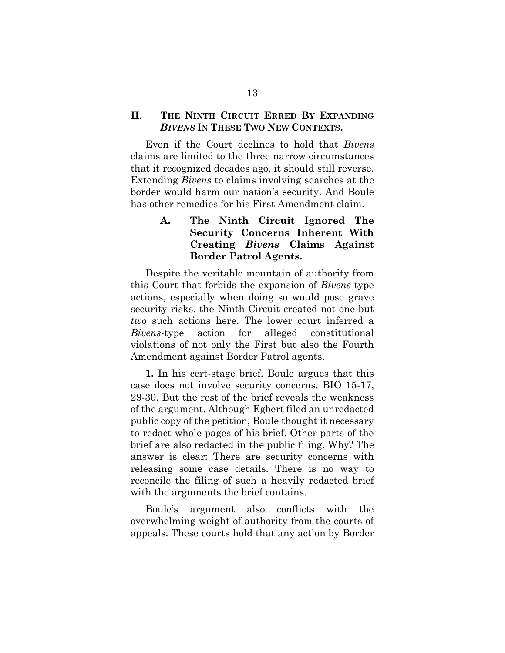#### **II. THE NINTH CIRCUIT ERRED BY EXPANDING** *BIVENS* **IN THESE TWO NEW CONTEXTS.**

Even if the Court declines to hold that *Bivens* claims are limited to the three narrow circumstances that it recognized decades ago, it should still reverse. Extending *Bivens* to claims involving searches at the border would harm our nation's security. And Boule has other remedies for his First Amendment claim.

## **A. The Ninth Circuit Ignored The Security Concerns Inherent With Creating** *Bivens* **Claims Against Border Patrol Agents.**

Despite the veritable mountain of authority from this Court that forbids the expansion of *Bivens*-type actions, especially when doing so would pose grave security risks, the Ninth Circuit created not one but *two* such actions here. The lower court inferred a *Bivens*-type action for alleged constitutional violations of not only the First but also the Fourth Amendment against Border Patrol agents.

**1.** In his cert-stage brief, Boule argues that this case does not involve security concerns. BIO 15-17, 29-30. But the rest of the brief reveals the weakness of the argument. Although Egbert filed an unredacted public copy of the petition, Boule thought it necessary to redact whole pages of his brief. Other parts of the brief are also redacted in the public filing. Why? The answer is clear: There are security concerns with releasing some case details. There is no way to reconcile the filing of such a heavily redacted brief with the arguments the brief contains.

Boule's argument also conflicts with the overwhelming weight of authority from the courts of appeals. These courts hold that any action by Border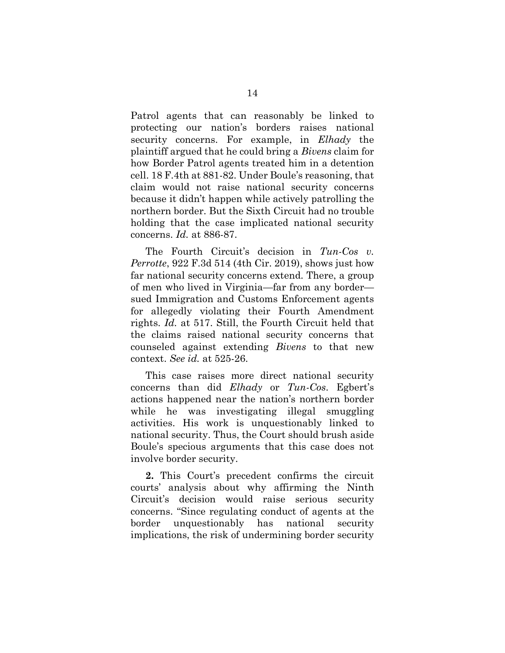<span id="page-20-0"></span>Patrol agents that can reasonably be linked to protecting our nation's borders raises national security concerns. For example, in *Elhady* the plaintiff argued that he could bring a *Bivens* claim for how Border Patrol agents treated him in a detention cell. 18 F.4th at 881-82. Under Boule's reasoning, that claim would not raise national security concerns because it didn't happen while actively patrolling the northern border. But the Sixth Circuit had no trouble holding that the case implicated national security concerns. *Id.* at 886-87.

<span id="page-20-1"></span>The Fourth Circuit's decision in *Tun-Cos v. Perrotte*, 922 F.3d 514 (4th Cir. 2019), shows just how far national security concerns extend. There, a group of men who lived in Virginia—far from any border sued Immigration and Customs Enforcement agents for allegedly violating their Fourth Amendment rights. *Id.* at 517. Still, the Fourth Circuit held that the claims raised national security concerns that counseled against extending *Bivens* to that new context. *See id.* at 525-26.

This case raises more direct national security concerns than did *Elhady* or *Tun-Cos*. Egbert's actions happened near the nation's northern border while he was investigating illegal smuggling activities. His work is unquestionably linked to national security. Thus, the Court should brush aside Boule's specious arguments that this case does not involve border security.

**2.** This Court's precedent confirms the circuit courts' analysis about why affirming the Ninth Circuit's decision would raise serious security concerns. "Since regulating conduct of agents at the border unquestionably has national security implications, the risk of undermining border security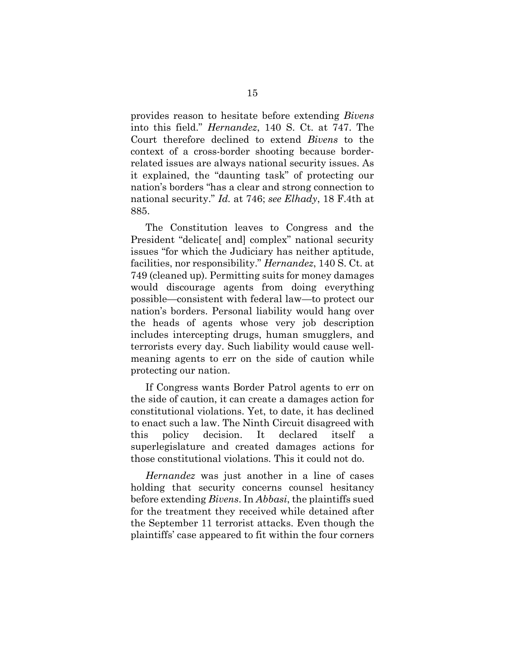<span id="page-21-1"></span>provides reason to hesitate before extending *Bivens* into this field." *Hernandez*, 140 S. Ct. at 747. The Court therefore declined to extend *Bivens* to the context of a cross-border shooting because borderrelated issues are always national security issues. As it explained, the "daunting task" of protecting our nation's borders "has a clear and strong connection to national security." *Id.* at 746; *see Elhady*, 18 F.4th at 885.

<span id="page-21-0"></span>The Constitution leaves to Congress and the President "delicate<sup>[</sup> and] complex" national security issues "for which the Judiciary has neither aptitude, facilities, nor responsibility." *Hernandez*, 140 S. Ct. at 749 (cleaned up). Permitting suits for money damages would discourage agents from doing everything possible—consistent with federal law—to protect our nation's borders. Personal liability would hang over the heads of agents whose very job description includes intercepting drugs, human smugglers, and terrorists every day. Such liability would cause wellmeaning agents to err on the side of caution while protecting our nation.

If Congress wants Border Patrol agents to err on the side of caution, it can create a damages action for constitutional violations. Yet, to date, it has declined to enact such a law. The Ninth Circuit disagreed with this policy decision. It declared itself a superlegislature and created damages actions for those constitutional violations. This it could not do.

*Hernandez* was just another in a line of cases holding that security concerns counsel hesitancy before extending *Bivens*. In *Abbasi*, the plaintiffs sued for the treatment they received while detained after the September 11 terrorist attacks. Even though the plaintiffs' case appeared to fit within the four corners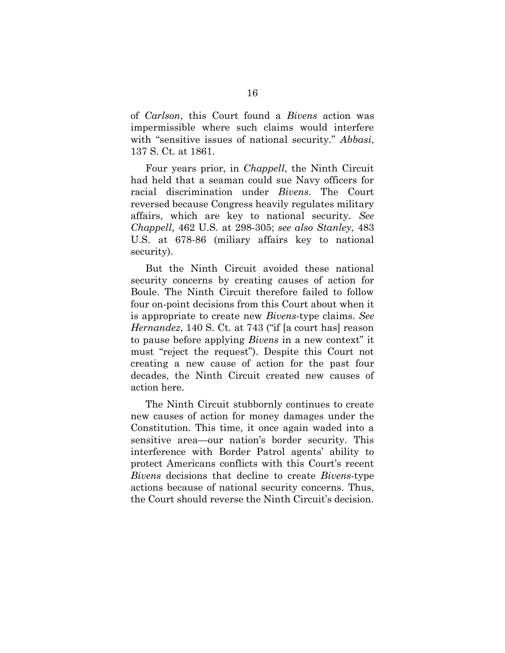<span id="page-22-3"></span>of *Carlson*, this Court found a *Bivens* action was impermissible where such claims would interfere with "sensitive issues of national security." *Abbasi*, 137 S. Ct. at 1861.

Four years prior, in *Chappell*, the Ninth Circuit had held that a seaman could sue Navy officers for racial discrimination under *Bivens*. The Court reversed because Congress heavily regulates military affairs, which are key to national security. *See Chappell*, 462 U.S. at 298-305; *see also Stanley*, 483 U.S. at 678-86 (miliary affairs key to national security).

<span id="page-22-2"></span><span id="page-22-1"></span><span id="page-22-0"></span>But the Ninth Circuit avoided these national security concerns by creating causes of action for Boule. The Ninth Circuit therefore failed to follow four on-point decisions from this Court about when it is appropriate to create new *Bivens*-type claims. *See Hernandez*, 140 S. Ct. at 743 ("if [a court has] reason to pause before applying *Bivens* in a new context" it must "reject the request"). Despite this Court not creating a new cause of action for the past four decades, the Ninth Circuit created new causes of action here.

The Ninth Circuit stubbornly continues to create new causes of action for money damages under the Constitution. This time, it once again waded into a sensitive area—our nation's border security. This interference with Border Patrol agents' ability to protect Americans conflicts with this Court's recent *Bivens* decisions that decline to create *Bivens*-type actions because of national security concerns. Thus, the Court should reverse the Ninth Circuit's decision.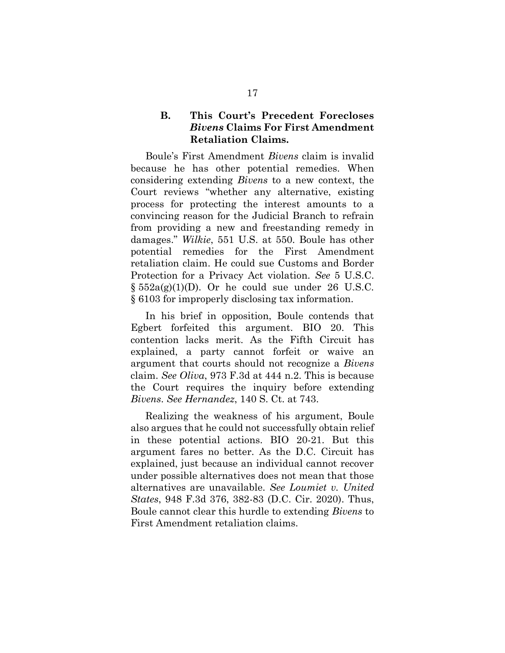#### **B. This Court's Precedent Forecloses** *Bivens* **Claims For First Amendment Retaliation Claims.**

Boule's First Amendment *Bivens* claim is invalid because he has other potential remedies. When considering extending *Bivens* to a new context, the Court reviews "whether any alternative, existing process for protecting the interest amounts to a convincing reason for the Judicial Branch to refrain from providing a new and freestanding remedy in damages." *Wilkie*, 551 U.S. at 550. Boule has other potential remedies for the First Amendment retaliation claim. He could sue Customs and Border Protection for a Privacy Act violation. *See* 5 U.S.C.  $\S 552a(g)(1)(D)$ . Or he could sue under 26 U.S.C. § 6103 for improperly disclosing tax information.

<span id="page-23-5"></span><span id="page-23-4"></span><span id="page-23-3"></span>In his brief in opposition, Boule contends that Egbert forfeited this argument. BIO 20. This contention lacks merit. As the Fifth Circuit has explained, a party cannot forfeit or waive an argument that courts should not recognize a *Bivens* claim. *See Oliva*, 973 F.3d at 444 n.2. This is because the Court requires the inquiry before extending *Bivens*. *See Hernandez*, 140 S. Ct. at 743.

<span id="page-23-2"></span><span id="page-23-1"></span><span id="page-23-0"></span>Realizing the weakness of his argument, Boule also argues that he could not successfully obtain relief in these potential actions. BIO 20-21. But this argument fares no better. As the D.C. Circuit has explained, just because an individual cannot recover under possible alternatives does not mean that those alternatives are unavailable. *See Loumiet v. United States*, 948 F.3d 376, 382-83 (D.C. Cir. 2020). Thus, Boule cannot clear this hurdle to extending *Bivens* to First Amendment retaliation claims.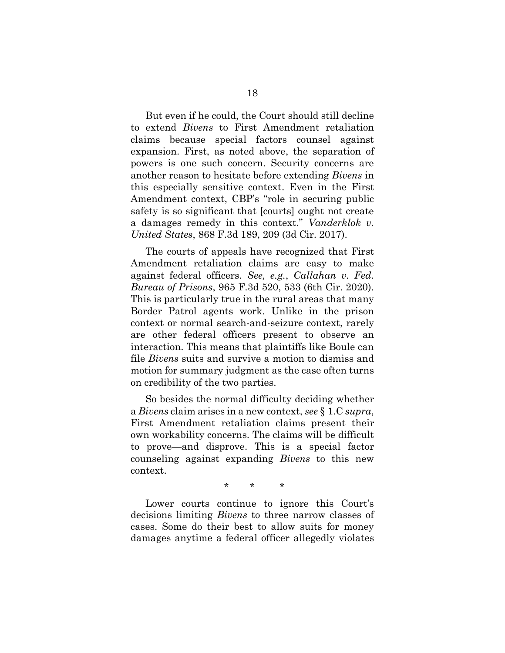But even if he could, the Court should still decline to extend *Bivens* to First Amendment retaliation claims because special factors counsel against expansion. First, as noted above, the separation of powers is one such concern. Security concerns are another reason to hesitate before extending *Bivens* in this especially sensitive context. Even in the First Amendment context, CBP's "role in securing public safety is so significant that [courts] ought not create a damages remedy in this context." *Vanderklok v. United States*, 868 F.3d 189, 209 (3d Cir. 2017).

<span id="page-24-1"></span><span id="page-24-0"></span>The courts of appeals have recognized that First Amendment retaliation claims are easy to make against federal officers. *See, e.g.*, *Callahan v. Fed. Bureau of Prisons*, 965 F.3d 520, 533 (6th Cir. 2020). This is particularly true in the rural areas that many Border Patrol agents work. Unlike in the prison context or normal search-and-seizure context, rarely are other federal officers present to observe an interaction. This means that plaintiffs like Boule can file *Bivens* suits and survive a motion to dismiss and motion for summary judgment as the case often turns on credibility of the two parties.

So besides the normal difficulty deciding whether a *Bivens* claim arises in a new context, *see* § 1.C *supra*, First Amendment retaliation claims present their own workability concerns. The claims will be difficult to prove—and disprove. This is a special factor counseling against expanding *Bivens* to this new context.

\* \* \*

Lower courts continue to ignore this Court's decisions limiting *Bivens* to three narrow classes of cases. Some do their best to allow suits for money damages anytime a federal officer allegedly violates